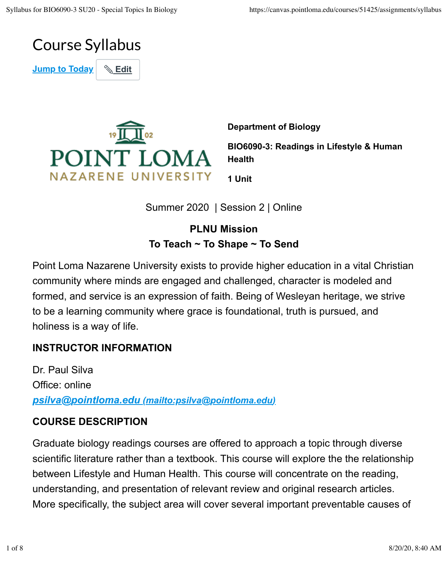

**Jump to Today** | & Edit



**Department of Biology BIO6090-3: Readings in Lifestyle & Human Health**

**1 Unit**

Summer 2020 | Session 2 | Online

## **PLNU Mission To Teach ~ To Shape ~ To Send**

Point Loma Nazarene University exists to provide higher education in a vital Christian community where minds are engaged and challenged, character is modeled and formed, and service is an expression of faith. Being of Wesleyan heritage, we strive to be a learning community where grace is foundational, truth is pursued, and holiness is a way of life.

## **INSTRUCTOR INFORMATION**

Dr. Paul Silva Office: online *psilva@pointloma.edu (mailto:psilva@pointloma.edu)*

#### **COURSE DESCRIPTION**

Graduate biology readings courses are offered to approach a topic through diverse scientific literature rather than a textbook. This course will explore the the relationship between Lifestyle and Human Health. This course will concentrate on the reading, understanding, and presentation of relevant review and original research articles. More specifically, the subject area will cover several important preventable causes of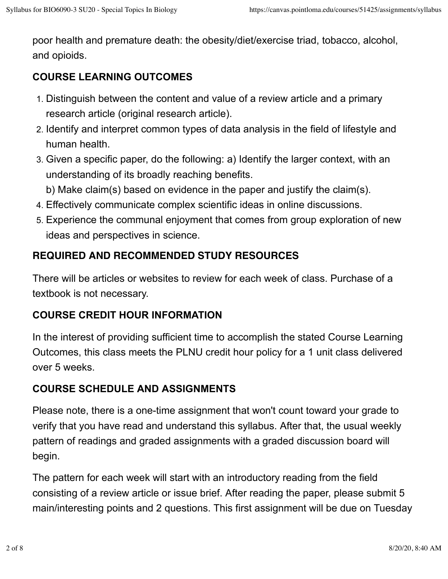poor health and premature death: the obesity/diet/exercise triad, tobacco, alcohol, and opioids.

## **COURSE LEARNING OUTCOMES**

- 1. Distinguish between the content and value of a review article and a primary research article (original research article).
- 2. Identify and interpret common types of data analysis in the field of lifestyle and human health.
- 3. Given a specific paper, do the following: a) Identify the larger context, with an understanding of its broadly reaching benefits.

b) Make claim(s) based on evidence in the paper and justify the claim(s).

- 4. Effectively communicate complex scientific ideas in online discussions.
- 5. Experience the communal enjoyment that comes from group exploration of new ideas and perspectives in science.

## **REQUIRED AND RECOMMENDED STUDY RESOURCES**

There will be articles or websites to review for each week of class. Purchase of a textbook is not necessary.

## **COURSE CREDIT HOUR INFORMATION**

In the interest of providing sufficient time to accomplish the stated Course Learning Outcomes, this class meets the PLNU credit hour policy for a 1 unit class delivered over 5 weeks.

# **COURSE SCHEDULE AND ASSIGNMENTS**

Please note, there is a one-time assignment that won't count toward your grade to verify that you have read and understand this syllabus. After that, the usual weekly pattern of readings and graded assignments with a graded discussion board will begin.

The pattern for each week will start with an introductory reading from the field consisting of a review article or issue brief. After reading the paper, please submit 5 main/interesting points and 2 questions. This first assignment will be due on Tuesday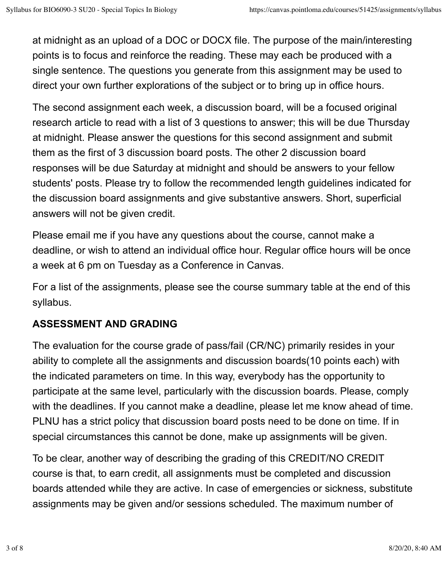at midnight as an upload of a DOC or DOCX file. The purpose of the main/interesting points is to focus and reinforce the reading. These may each be produced with a single sentence. The questions you generate from this assignment may be used to direct your own further explorations of the subject or to bring up in office hours.

The second assignment each week, a discussion board, will be a focused original research article to read with a list of 3 questions to answer; this will be due Thursday at midnight. Please answer the questions for this second assignment and submit them as the first of 3 discussion board posts. The other 2 discussion board responses will be due Saturday at midnight and should be answers to your fellow students' posts. Please try to follow the recommended length guidelines indicated for the discussion board assignments and give substantive answers. Short, superficial answers will not be given credit.

Please email me if you have any questions about the course, cannot make a deadline, or wish to attend an individual office hour. Regular office hours will be once a week at 6 pm on Tuesday as a Conference in Canvas.

For a list of the assignments, please see the course summary table at the end of this syllabus.

## **ASSESSMENT AND GRADING**

The evaluation for the course grade of pass/fail (CR/NC) primarily resides in your ability to complete all the assignments and discussion boards(10 points each) with the indicated parameters on time. In this way, everybody has the opportunity to participate at the same level, particularly with the discussion boards. Please, comply with the deadlines. If you cannot make a deadline, please let me know ahead of time. PLNU has a strict policy that discussion board posts need to be done on time. If in special circumstances this cannot be done, make up assignments will be given.

To be clear, another way of describing the grading of this CREDIT/NO CREDIT course is that, to earn credit, all assignments must be completed and discussion boards attended while they are active. In case of emergencies or sickness, substitute assignments may be given and/or sessions scheduled. The maximum number of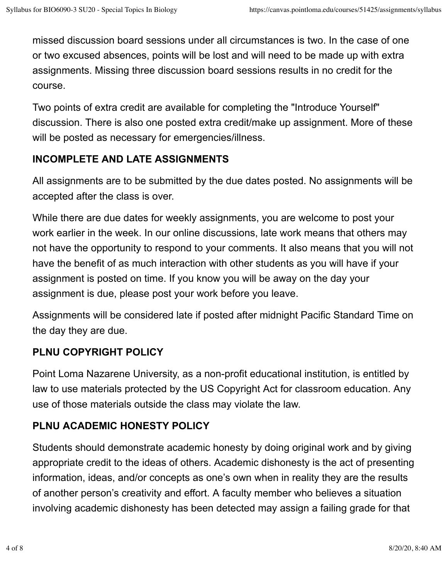missed discussion board sessions under all circumstances is two. In the case of one or two excused absences, points will be lost and will need to be made up with extra assignments. Missing three discussion board sessions results in no credit for the course.

Two points of extra credit are available for completing the "Introduce Yourself" discussion. There is also one posted extra credit/make up assignment. More of these will be posted as necessary for emergencies/illness.

#### **INCOMPLETE AND LATE ASSIGNMENTS**

All assignments are to be submitted by the due dates posted. No assignments will be accepted after the class is over.

While there are due dates for weekly assignments, you are welcome to post your work earlier in the week. In our online discussions, late work means that others may not have the opportunity to respond to your comments. It also means that you will not have the benefit of as much interaction with other students as you will have if your assignment is posted on time. If you know you will be away on the day your assignment is due, please post your work before you leave.

Assignments will be considered late if posted after midnight Pacific Standard Time on the day they are due.

## **PLNU COPYRIGHT POLICY**

Point Loma Nazarene University, as a non-profit educational institution, is entitled by law to use materials protected by the US Copyright Act for classroom education. Any use of those materials outside the class may violate the law.

## **PLNU ACADEMIC HONESTY POLICY**

Students should demonstrate academic honesty by doing original work and by giving appropriate credit to the ideas of others. Academic dishonesty is the act of presenting information, ideas, and/or concepts as one's own when in reality they are the results of another person's creativity and effort. A faculty member who believes a situation involving academic dishonesty has been detected may assign a failing grade for that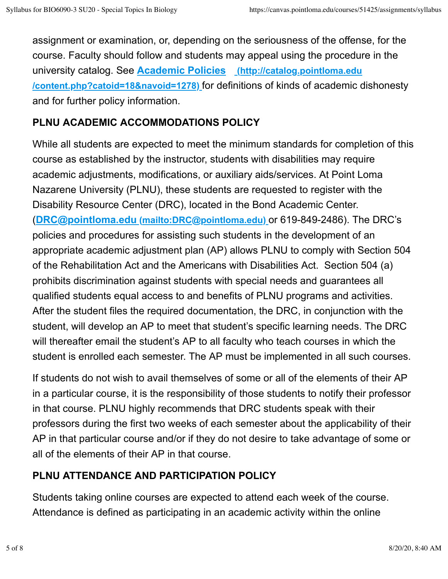assignment or examination, or, depending on the seriousness of the offense, for the course. Faculty should follow and students may appeal using the procedure in the university catalog. See **Academic Policies (http://catalog.pointloma.edu /content.php?catoid=18&navoid=1278)** for definitions of kinds of academic dishonesty and for further policy information.

#### **PLNU ACADEMIC ACCOMMODATIONS POLICY**

While all students are expected to meet the minimum standards for completion of this course as established by the instructor, students with disabilities may require academic adjustments, modifications, or auxiliary aids/services. At Point Loma Nazarene University (PLNU), these students are requested to register with the Disability Resource Center (DRC), located in the Bond Academic Center. (**DRC@pointloma.edu (mailto:DRC@pointloma.edu)** or 619-849-2486). The DRC's policies and procedures for assisting such students in the development of an appropriate academic adjustment plan (AP) allows PLNU to comply with Section 504 of the Rehabilitation Act and the Americans with Disabilities Act. Section 504 (a) prohibits discrimination against students with special needs and guarantees all qualified students equal access to and benefits of PLNU programs and activities. After the student files the required documentation, the DRC, in conjunction with the student, will develop an AP to meet that student's specific learning needs. The DRC will thereafter email the student's AP to all faculty who teach courses in which the student is enrolled each semester. The AP must be implemented in all such courses.

If students do not wish to avail themselves of some or all of the elements of their AP in a particular course, it is the responsibility of those students to notify their professor in that course. PLNU highly recommends that DRC students speak with their professors during the first two weeks of each semester about the applicability of their AP in that particular course and/or if they do not desire to take advantage of some or all of the elements of their AP in that course.

## **PLNU ATTENDANCE AND PARTICIPATION POLICY**

Students taking online courses are expected to attend each week of the course. Attendance is defined as participating in an academic activity within the online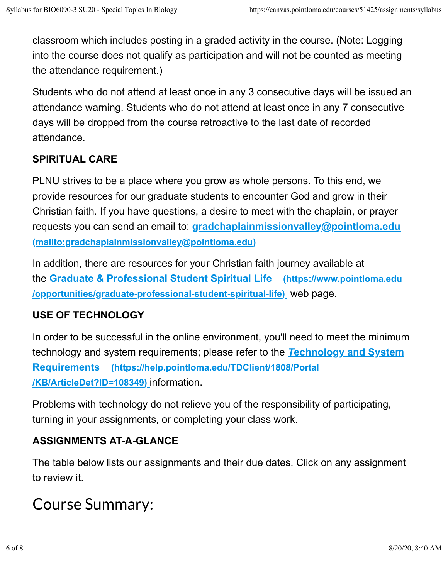classroom which includes posting in a graded activity in the course. (Note: Logging into the course does not qualify as participation and will not be counted as meeting the attendance requirement.)

Students who do not attend at least once in any 3 consecutive days will be issued an attendance warning. Students who do not attend at least once in any 7 consecutive days will be dropped from the course retroactive to the last date of recorded attendance.

## **SPIRITUAL CARE**

PLNU strives to be a place where you grow as whole persons. To this end, we provide resources for our graduate students to encounter God and grow in their Christian faith. If you have questions, a desire to meet with the chaplain, or prayer requests you can send an email to: **gradchaplainmissionvalley@pointloma.edu (mailto:gradchaplainmissionvalley@pointloma.edu)**

In addition, there are resources for your Christian faith journey available at the **Graduate & Professional Student Spiritual Life (https://www.pointloma.edu /opportunities/graduate-professional-student-spiritual-life)** web page.

## **USE OF TECHNOLOGY**

In order to be successful in the online environment, you'll need to meet the minimum technology and system requirements; please refer to the *T***echnology and System Requirements (https://help.pointloma.edu/TDClient/1808/Portal /KB/ArticleDet?ID=108349)** information.

Problems with technology do not relieve you of the responsibility of participating, turning in your assignments, or completing your class work.

# **ASSIGNMENTS AT-A-GLANCE**

The table below lists our assignments and their due dates. Click on any assignment to review it.

# Course Summary: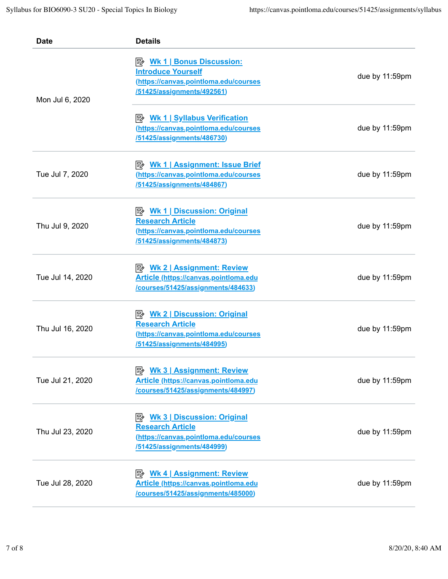| <b>Date</b>      | <b>Details</b>                                                                                                 |                |
|------------------|----------------------------------------------------------------------------------------------------------------|----------------|
| Mon Jul 6, 2020  | <b>Introduce Yourself</b><br>(https://canvas.pointloma.edu/courses<br>/51425/assignments/492561)               | due by 11:59pm |
|                  | <b>B</b> Wk 1   Syllabus Verification<br>(https://canvas.pointloma.edu/courses<br>/51425/assignments/486730)   | due by 11:59pm |
| Tue Jul 7, 2020  | <b>B</b> Wk 1   Assignment: Issue Brief<br>(https://canvas.pointloma.edu/courses<br>/51425/assignments/484867) | due by 11:59pm |
| Thu Jul 9, 2020  | <b>Research Article</b><br>(https://canvas.pointloma.edu/courses<br>/51425/assignments/484873)                 | due by 11:59pm |
| Tue Jul 14, 2020 | <b>Article (https://canvas.pointloma.edu</b><br>/courses/51425/assignments/484633)                             | due by 11:59pm |
| Thu Jul 16, 2020 | <b>Research Article</b><br>(https://canvas.pointloma.edu/courses<br>/51425/assignments/484995)                 | due by 11:59pm |
| Tue Jul 21, 2020 | <b>Article (https://canvas.pointloma.edu</b><br>/courses/51425/assignments/484997)                             | due by 11:59pm |
| Thu Jul 23, 2020 | <b>Research Article</b><br>(https://canvas.pointloma.edu/courses<br>/51425/assignments/484999)                 | due by 11:59pm |
| Tue Jul 28, 2020 | <b>Article (https://canvas.pointloma.edu</b><br>/courses/51425/assignments/485000)                             | due by 11:59pm |